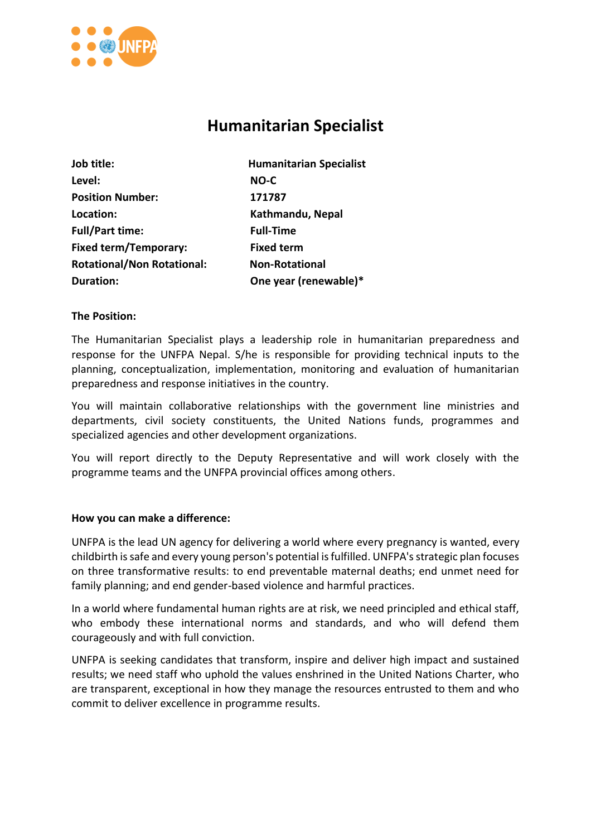

# **Humanitarian Specialist**

| Job title:                        | <b>Humanitarian Specialist</b> |
|-----------------------------------|--------------------------------|
| Level:                            | NO-C                           |
| <b>Position Number:</b>           | 171787                         |
| Location:                         | Kathmandu, Nepal               |
| <b>Full/Part time:</b>            | <b>Full-Time</b>               |
| <b>Fixed term/Temporary:</b>      | <b>Fixed term</b>              |
| <b>Rotational/Non Rotational:</b> | <b>Non-Rotational</b>          |
| <b>Duration:</b>                  | One year (renewable)*          |

## **The Position:**

The Humanitarian Specialist plays a leadership role in humanitarian preparedness and response for the UNFPA Nepal. S/he is responsible for providing technical inputs to the planning, conceptualization, implementation, monitoring and evaluation of humanitarian preparedness and response initiatives in the country.

You will maintain collaborative relationships with the government line ministries and departments, civil society constituents, the United Nations funds, programmes and specialized agencies and other development organizations.

You will report directly to the Deputy Representative and will work closely with the programme teams and the UNFPA provincial offices among others.

#### **How you can make a difference:**

UNFPA is the lead UN agency for delivering a world where every pregnancy is wanted, every childbirth is safe and every young person's potential is fulfilled. UNFPA's strategic plan focuses on three transformative results: to end preventable maternal deaths; end unmet need for family planning; and end gender-based violence and harmful practices.

In a world where fundamental human rights are at risk, we need principled and ethical staff, who embody these international norms and standards, and who will defend them courageously and with full conviction.

UNFPA is seeking candidates that transform, inspire and deliver high impact and sustained results; we need staff who uphold the values enshrined in the United Nations Charter, who are transparent, exceptional in how they manage the resources entrusted to them and who commit to deliver excellence in programme results.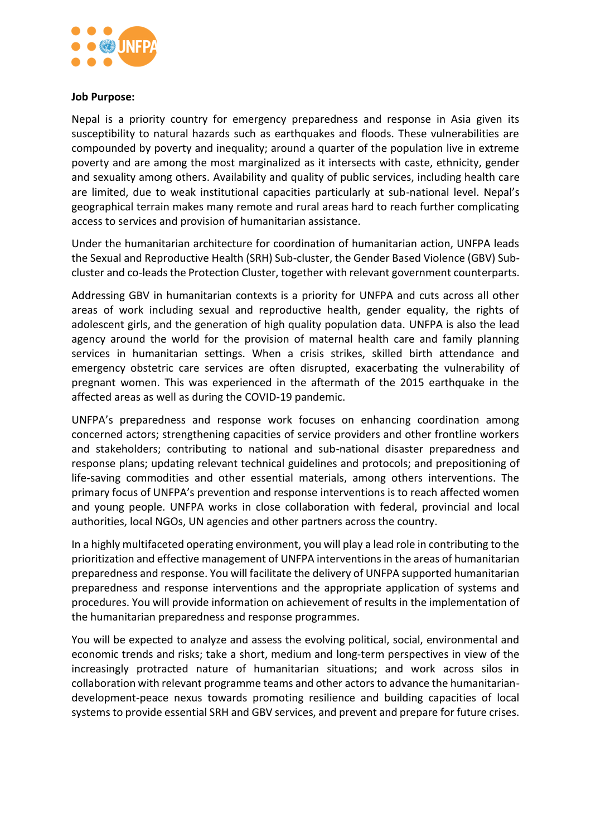

#### **Job Purpose:**

Nepal is a priority country for emergency preparedness and response in Asia given its susceptibility to natural hazards such as earthquakes and floods. These vulnerabilities are compounded by poverty and inequality; around a quarter of the population live in extreme poverty and are among the most marginalized as it intersects with caste, ethnicity, gender and sexuality among others. Availability and quality of public services, including health care are limited, due to weak institutional capacities particularly at sub-national level. Nepal's geographical terrain makes many remote and rural areas hard to reach further complicating access to services and provision of humanitarian assistance.

Under the humanitarian architecture for coordination of humanitarian action, UNFPA leads the Sexual and Reproductive Health (SRH) Sub-cluster, the Gender Based Violence (GBV) Subcluster and co-leads the Protection Cluster, together with relevant government counterparts.

Addressing GBV in humanitarian contexts is a priority for UNFPA and cuts across all other areas of work including sexual and reproductive health, gender equality, the rights of adolescent girls, and the generation of high quality population data. UNFPA is also the lead agency around the world for the provision of maternal health care and family planning services in humanitarian settings. When a crisis strikes, skilled birth attendance and emergency obstetric care services are often disrupted, exacerbating the vulnerability of pregnant women. This was experienced in the aftermath of the 2015 earthquake in the affected areas as well as during the COVID-19 pandemic.

UNFPA's preparedness and response work focuses on enhancing coordination among concerned actors; strengthening capacities of service providers and other frontline workers and stakeholders; contributing to national and sub-national disaster preparedness and response plans; updating relevant technical guidelines and protocols; and prepositioning of life-saving commodities and other essential materials, among others interventions. The primary focus of UNFPA's prevention and response interventions is to reach affected women and young people. UNFPA works in close collaboration with federal, provincial and local authorities, local NGOs, UN agencies and other partners across the country.

In a highly multifaceted operating environment, you will play a lead role in contributing to the prioritization and effective management of UNFPA interventions in the areas of humanitarian preparedness and response. You will facilitate the delivery of UNFPA supported humanitarian preparedness and response interventions and the appropriate application of systems and procedures. You will provide information on achievement of results in the implementation of the humanitarian preparedness and response programmes.

You will be expected to analyze and assess the evolving political, social, environmental and economic trends and risks; take a short, medium and long-term perspectives in view of the increasingly protracted nature of humanitarian situations; and work across silos in collaboration with relevant programme teams and other actors to advance the humanitariandevelopment-peace nexus towards promoting resilience and building capacities of local systems to provide essential SRH and GBV services, and prevent and prepare for future crises.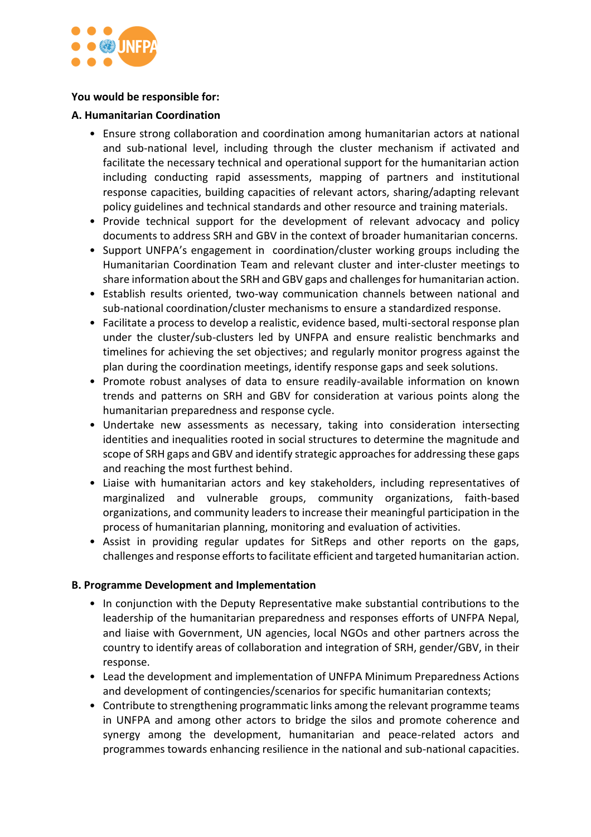

# **You would be responsible for:**

# **A. Humanitarian Coordination**

- Ensure strong collaboration and coordination among humanitarian actors at national and sub-national level, including through the cluster mechanism if activated and facilitate the necessary technical and operational support for the humanitarian action including conducting rapid assessments, mapping of partners and institutional response capacities, building capacities of relevant actors, sharing/adapting relevant policy guidelines and technical standards and other resource and training materials.
- Provide technical support for the development of relevant advocacy and policy documents to address SRH and GBV in the context of broader humanitarian concerns.
- Support UNFPA's engagement in coordination/cluster working groups including the Humanitarian Coordination Team and relevant cluster and inter-cluster meetings to share information about the SRH and GBV gaps and challenges for humanitarian action.
- Establish results oriented, two-way communication channels between national and sub-national coordination/cluster mechanisms to ensure a standardized response.
- Facilitate a process to develop a realistic, evidence based, multi-sectoral response plan under the cluster/sub-clusters led by UNFPA and ensure realistic benchmarks and timelines for achieving the set objectives; and regularly monitor progress against the plan during the coordination meetings, identify response gaps and seek solutions.
- Promote robust analyses of data to ensure readily-available information on known trends and patterns on SRH and GBV for consideration at various points along the humanitarian preparedness and response cycle.
- Undertake new assessments as necessary, taking into consideration intersecting identities and inequalities rooted in social structures to determine the magnitude and scope of SRH gaps and GBV and identify strategic approaches for addressing these gaps and reaching the most furthest behind.
- Liaise with humanitarian actors and key stakeholders, including representatives of marginalized and vulnerable groups, community organizations, faith-based organizations, and community leaders to increase their meaningful participation in the process of humanitarian planning, monitoring and evaluation of activities.
- Assist in providing regular updates for SitReps and other reports on the gaps, challenges and response efforts to facilitate efficient and targeted humanitarian action.

## **B. Programme Development and Implementation**

- In conjunction with the Deputy Representative make substantial contributions to the leadership of the humanitarian preparedness and responses efforts of UNFPA Nepal, and liaise with Government, UN agencies, local NGOs and other partners across the country to identify areas of collaboration and integration of SRH, gender/GBV, in their response.
- Lead the development and implementation of UNFPA Minimum Preparedness Actions and development of contingencies/scenarios for specific humanitarian contexts;
- Contribute to strengthening programmatic links among the relevant programme teams in UNFPA and among other actors to bridge the silos and promote coherence and synergy among the development, humanitarian and peace-related actors and programmes towards enhancing resilience in the national and sub-national capacities.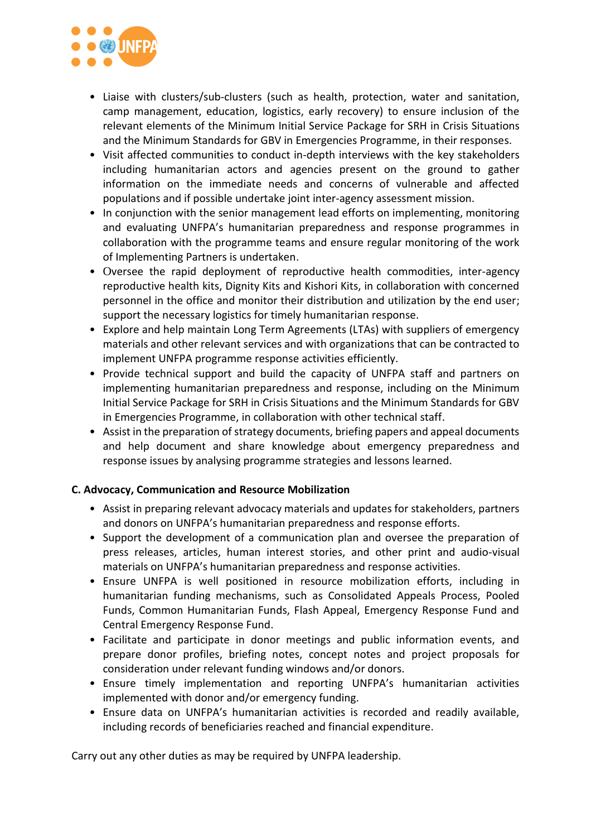

- Liaise with clusters/sub-clusters (such as health, protection, water and sanitation, camp management, education, logistics, early recovery) to ensure inclusion of the relevant elements of the Minimum Initial Service Package for SRH in Crisis Situations and the Minimum Standards for GBV in Emergencies Programme, in their responses.
- Visit affected communities to conduct in-depth interviews with the key stakeholders including humanitarian actors and agencies present on the ground to gather information on the immediate needs and concerns of vulnerable and affected populations and if possible undertake joint inter-agency assessment mission.
- In conjunction with the senior management lead efforts on implementing, monitoring and evaluating UNFPA's humanitarian preparedness and response programmes in collaboration with the programme teams and ensure regular monitoring of the work of Implementing Partners is undertaken.
- Oversee the rapid deployment of reproductive health commodities, inter-agency reproductive health kits, Dignity Kits and Kishori Kits, in collaboration with concerned personnel in the office and monitor their distribution and utilization by the end user; support the necessary logistics for timely humanitarian response.
- Explore and help maintain Long Term Agreements (LTAs) with suppliers of emergency materials and other relevant services and with organizations that can be contracted to implement UNFPA programme response activities efficiently.
- Provide technical support and build the capacity of UNFPA staff and partners on implementing humanitarian preparedness and response, including on the Minimum Initial Service Package for SRH in Crisis Situations and the Minimum Standards for GBV in Emergencies Programme, in collaboration with other technical staff.
- Assist in the preparation of strategy documents, briefing papers and appeal documents and help document and share knowledge about emergency preparedness and response issues by analysing programme strategies and lessons learned.

# **C. Advocacy, Communication and Resource Mobilization**

- Assist in preparing relevant advocacy materials and updates for stakeholders, partners and donors on UNFPA's humanitarian preparedness and response efforts.
- Support the development of a communication plan and oversee the preparation of press releases, articles, human interest stories, and other print and audio-visual materials on UNFPA's humanitarian preparedness and response activities.
- Ensure UNFPA is well positioned in resource mobilization efforts, including in humanitarian funding mechanisms, such as Consolidated Appeals Process, Pooled Funds, Common Humanitarian Funds, Flash Appeal, Emergency Response Fund and Central Emergency Response Fund.
- Facilitate and participate in donor meetings and public information events, and prepare donor profiles, briefing notes, concept notes and project proposals for consideration under relevant funding windows and/or donors.
- Ensure timely implementation and reporting UNFPA's humanitarian activities implemented with donor and/or emergency funding.
- Ensure data on UNFPA's humanitarian activities is recorded and readily available, including records of beneficiaries reached and financial expenditure.

Carry out any other duties as may be required by UNFPA leadership.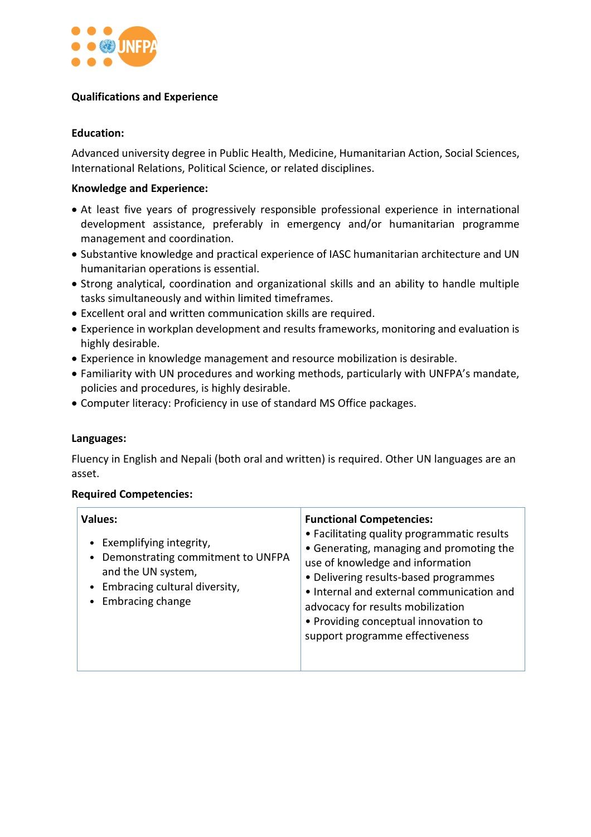

# **Qualifications and Experience**

# **Education:**

Advanced university degree in Public Health, Medicine, Humanitarian Action, Social Sciences, International Relations, Political Science, or related disciplines.

# **Knowledge and Experience:**

- At least five years of progressively responsible professional experience in international development assistance, preferably in emergency and/or humanitarian programme management and coordination.
- Substantive knowledge and practical experience of IASC humanitarian architecture and UN humanitarian operations is essential.
- Strong analytical, coordination and organizational skills and an ability to handle multiple tasks simultaneously and within limited timeframes.
- Excellent oral and written communication skills are required.
- Experience in workplan development and results frameworks, monitoring and evaluation is highly desirable.
- Experience in knowledge management and resource mobilization is desirable.
- Familiarity with UN procedures and working methods, particularly with UNFPA's mandate, policies and procedures, is highly desirable.
- Computer literacy: Proficiency in use of standard MS Office packages.

## **Languages:**

Fluency in English and Nepali (both oral and written) is required. Other UN languages are an asset.

## **Required Competencies:**